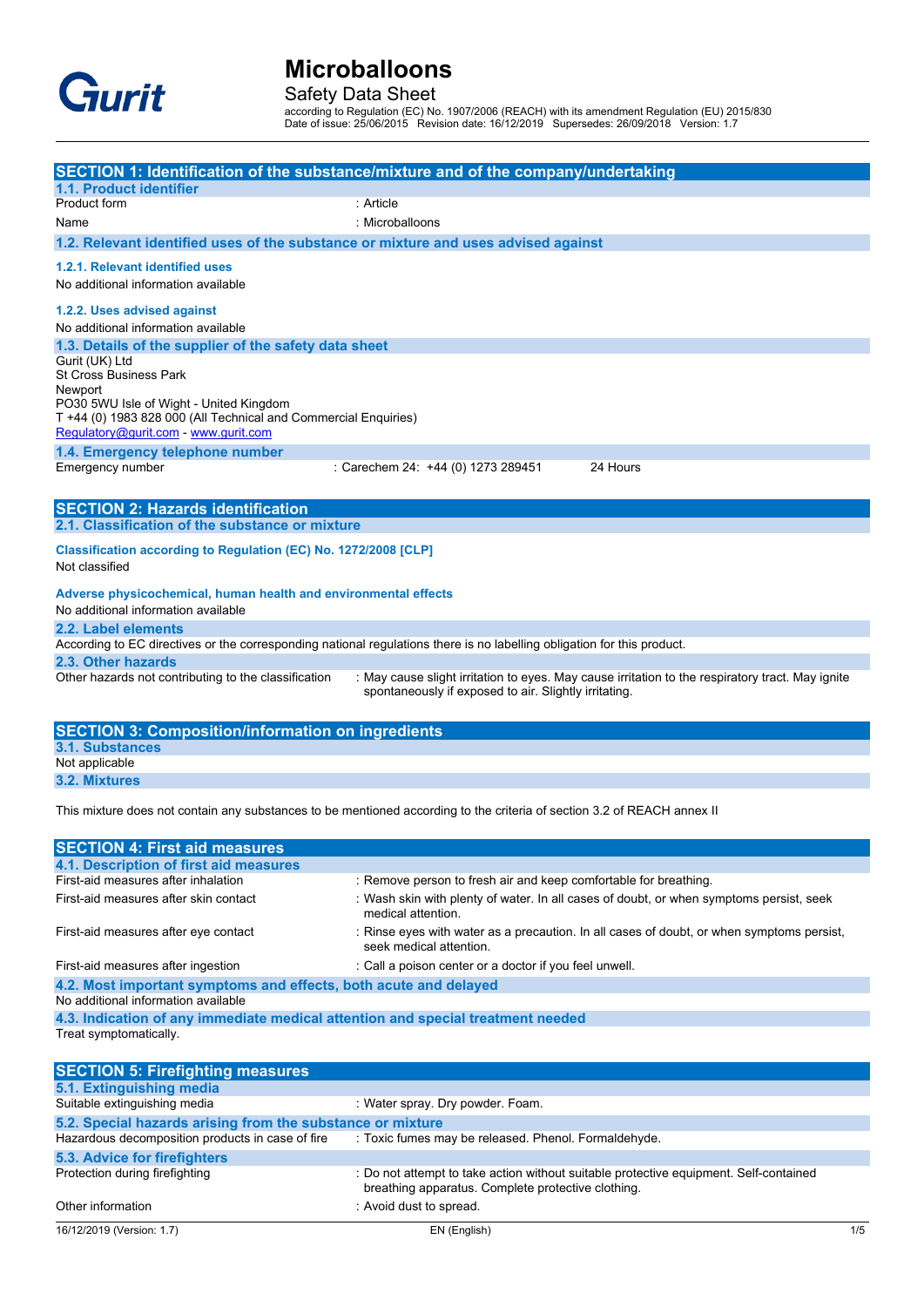

### Safety Data Sheet

according to Regulation (EC) No. 1907/2006 (REACH) with its amendment Regulation (EU) 2015/830 Date of issue: 25/06/2015 Revision date: 16/12/2019 Supersedes: 26/09/2018 Version: 1.7

| SECTION 1: Identification of the substance/mixture and of the company/undertaking<br>1.1. Product identifier<br>Product form<br>: Article<br>Name<br>: Microballoons<br>1.2. Relevant identified uses of the substance or mixture and uses advised against<br>1.2.1. Relevant identified uses<br>No additional information available<br>1.2.2. Uses advised against<br>No additional information available<br>1.3. Details of the supplier of the safety data sheet<br>Gurit (UK) Ltd<br><b>St Cross Business Park</b><br>Newport<br>PO30 5WU Isle of Wight - United Kingdom<br>T +44 (0) 1983 828 000 (All Technical and Commercial Enquiries)<br>Regulatory@gurit.com - www.gurit.com<br>1.4. Emergency telephone number<br>Emergency number<br>: Carechem 24: +44 (0) 1273 289451<br>24 Hours<br><b>SECTION 2: Hazards identification</b><br>2.1. Classification of the substance or mixture<br>Classification according to Regulation (EC) No. 1272/2008 [CLP]<br>Not classified<br>Adverse physicochemical, human health and environmental effects<br>No additional information available<br>2.2. Label elements<br>According to EC directives or the corresponding national regulations there is no labelling obligation for this product.<br>2.3. Other hazards<br>Other hazards not contributing to the classification<br>: May cause slight irritation to eyes. May cause irritation to the respiratory tract. May ignite<br>spontaneously if exposed to air. Slightly irritating.<br><b>SECTION 3: Composition/information on ingredients</b><br><b>3.1. Substances</b><br>Not applicable<br>3.2. Mixtures<br>This mixture does not contain any substances to be mentioned according to the criteria of section 3.2 of REACH annex II<br><b>SECTION 4: First aid measures</b><br>4.1. Description of first aid measures<br>First-aid measures after inhalation<br>: Remove person to fresh air and keep comfortable for breathing.<br>First-aid measures after skin contact<br>: Wash skin with plenty of water. In all cases of doubt, or when symptoms persist, seek<br>medical attention.<br>First-aid measures after eye contact<br>: Rinse eyes with water as a precaution. In all cases of doubt, or when symptoms persist,<br>seek medical attention.<br>: Call a poison center or a doctor if you feel unwell.<br>First-aid measures after ingestion<br>4.2. Most important symptoms and effects, both acute and delayed<br>No additional information available |  |
|-----------------------------------------------------------------------------------------------------------------------------------------------------------------------------------------------------------------------------------------------------------------------------------------------------------------------------------------------------------------------------------------------------------------------------------------------------------------------------------------------------------------------------------------------------------------------------------------------------------------------------------------------------------------------------------------------------------------------------------------------------------------------------------------------------------------------------------------------------------------------------------------------------------------------------------------------------------------------------------------------------------------------------------------------------------------------------------------------------------------------------------------------------------------------------------------------------------------------------------------------------------------------------------------------------------------------------------------------------------------------------------------------------------------------------------------------------------------------------------------------------------------------------------------------------------------------------------------------------------------------------------------------------------------------------------------------------------------------------------------------------------------------------------------------------------------------------------------------------------------------------------------------------------------------------------------------------------------------------------------------------------------------------------------------------------------------------------------------------------------------------------------------------------------------------------------------------------------------------------------------------------------------------------------------------------------------------------------------------------------------------------------------------------------------------------------------------------------------------------|--|
|                                                                                                                                                                                                                                                                                                                                                                                                                                                                                                                                                                                                                                                                                                                                                                                                                                                                                                                                                                                                                                                                                                                                                                                                                                                                                                                                                                                                                                                                                                                                                                                                                                                                                                                                                                                                                                                                                                                                                                                                                                                                                                                                                                                                                                                                                                                                                                                                                                                                                   |  |
|                                                                                                                                                                                                                                                                                                                                                                                                                                                                                                                                                                                                                                                                                                                                                                                                                                                                                                                                                                                                                                                                                                                                                                                                                                                                                                                                                                                                                                                                                                                                                                                                                                                                                                                                                                                                                                                                                                                                                                                                                                                                                                                                                                                                                                                                                                                                                                                                                                                                                   |  |
|                                                                                                                                                                                                                                                                                                                                                                                                                                                                                                                                                                                                                                                                                                                                                                                                                                                                                                                                                                                                                                                                                                                                                                                                                                                                                                                                                                                                                                                                                                                                                                                                                                                                                                                                                                                                                                                                                                                                                                                                                                                                                                                                                                                                                                                                                                                                                                                                                                                                                   |  |
|                                                                                                                                                                                                                                                                                                                                                                                                                                                                                                                                                                                                                                                                                                                                                                                                                                                                                                                                                                                                                                                                                                                                                                                                                                                                                                                                                                                                                                                                                                                                                                                                                                                                                                                                                                                                                                                                                                                                                                                                                                                                                                                                                                                                                                                                                                                                                                                                                                                                                   |  |
|                                                                                                                                                                                                                                                                                                                                                                                                                                                                                                                                                                                                                                                                                                                                                                                                                                                                                                                                                                                                                                                                                                                                                                                                                                                                                                                                                                                                                                                                                                                                                                                                                                                                                                                                                                                                                                                                                                                                                                                                                                                                                                                                                                                                                                                                                                                                                                                                                                                                                   |  |
|                                                                                                                                                                                                                                                                                                                                                                                                                                                                                                                                                                                                                                                                                                                                                                                                                                                                                                                                                                                                                                                                                                                                                                                                                                                                                                                                                                                                                                                                                                                                                                                                                                                                                                                                                                                                                                                                                                                                                                                                                                                                                                                                                                                                                                                                                                                                                                                                                                                                                   |  |
|                                                                                                                                                                                                                                                                                                                                                                                                                                                                                                                                                                                                                                                                                                                                                                                                                                                                                                                                                                                                                                                                                                                                                                                                                                                                                                                                                                                                                                                                                                                                                                                                                                                                                                                                                                                                                                                                                                                                                                                                                                                                                                                                                                                                                                                                                                                                                                                                                                                                                   |  |
|                                                                                                                                                                                                                                                                                                                                                                                                                                                                                                                                                                                                                                                                                                                                                                                                                                                                                                                                                                                                                                                                                                                                                                                                                                                                                                                                                                                                                                                                                                                                                                                                                                                                                                                                                                                                                                                                                                                                                                                                                                                                                                                                                                                                                                                                                                                                                                                                                                                                                   |  |
|                                                                                                                                                                                                                                                                                                                                                                                                                                                                                                                                                                                                                                                                                                                                                                                                                                                                                                                                                                                                                                                                                                                                                                                                                                                                                                                                                                                                                                                                                                                                                                                                                                                                                                                                                                                                                                                                                                                                                                                                                                                                                                                                                                                                                                                                                                                                                                                                                                                                                   |  |
|                                                                                                                                                                                                                                                                                                                                                                                                                                                                                                                                                                                                                                                                                                                                                                                                                                                                                                                                                                                                                                                                                                                                                                                                                                                                                                                                                                                                                                                                                                                                                                                                                                                                                                                                                                                                                                                                                                                                                                                                                                                                                                                                                                                                                                                                                                                                                                                                                                                                                   |  |
|                                                                                                                                                                                                                                                                                                                                                                                                                                                                                                                                                                                                                                                                                                                                                                                                                                                                                                                                                                                                                                                                                                                                                                                                                                                                                                                                                                                                                                                                                                                                                                                                                                                                                                                                                                                                                                                                                                                                                                                                                                                                                                                                                                                                                                                                                                                                                                                                                                                                                   |  |
|                                                                                                                                                                                                                                                                                                                                                                                                                                                                                                                                                                                                                                                                                                                                                                                                                                                                                                                                                                                                                                                                                                                                                                                                                                                                                                                                                                                                                                                                                                                                                                                                                                                                                                                                                                                                                                                                                                                                                                                                                                                                                                                                                                                                                                                                                                                                                                                                                                                                                   |  |
|                                                                                                                                                                                                                                                                                                                                                                                                                                                                                                                                                                                                                                                                                                                                                                                                                                                                                                                                                                                                                                                                                                                                                                                                                                                                                                                                                                                                                                                                                                                                                                                                                                                                                                                                                                                                                                                                                                                                                                                                                                                                                                                                                                                                                                                                                                                                                                                                                                                                                   |  |
|                                                                                                                                                                                                                                                                                                                                                                                                                                                                                                                                                                                                                                                                                                                                                                                                                                                                                                                                                                                                                                                                                                                                                                                                                                                                                                                                                                                                                                                                                                                                                                                                                                                                                                                                                                                                                                                                                                                                                                                                                                                                                                                                                                                                                                                                                                                                                                                                                                                                                   |  |
|                                                                                                                                                                                                                                                                                                                                                                                                                                                                                                                                                                                                                                                                                                                                                                                                                                                                                                                                                                                                                                                                                                                                                                                                                                                                                                                                                                                                                                                                                                                                                                                                                                                                                                                                                                                                                                                                                                                                                                                                                                                                                                                                                                                                                                                                                                                                                                                                                                                                                   |  |
|                                                                                                                                                                                                                                                                                                                                                                                                                                                                                                                                                                                                                                                                                                                                                                                                                                                                                                                                                                                                                                                                                                                                                                                                                                                                                                                                                                                                                                                                                                                                                                                                                                                                                                                                                                                                                                                                                                                                                                                                                                                                                                                                                                                                                                                                                                                                                                                                                                                                                   |  |
|                                                                                                                                                                                                                                                                                                                                                                                                                                                                                                                                                                                                                                                                                                                                                                                                                                                                                                                                                                                                                                                                                                                                                                                                                                                                                                                                                                                                                                                                                                                                                                                                                                                                                                                                                                                                                                                                                                                                                                                                                                                                                                                                                                                                                                                                                                                                                                                                                                                                                   |  |
|                                                                                                                                                                                                                                                                                                                                                                                                                                                                                                                                                                                                                                                                                                                                                                                                                                                                                                                                                                                                                                                                                                                                                                                                                                                                                                                                                                                                                                                                                                                                                                                                                                                                                                                                                                                                                                                                                                                                                                                                                                                                                                                                                                                                                                                                                                                                                                                                                                                                                   |  |
|                                                                                                                                                                                                                                                                                                                                                                                                                                                                                                                                                                                                                                                                                                                                                                                                                                                                                                                                                                                                                                                                                                                                                                                                                                                                                                                                                                                                                                                                                                                                                                                                                                                                                                                                                                                                                                                                                                                                                                                                                                                                                                                                                                                                                                                                                                                                                                                                                                                                                   |  |
|                                                                                                                                                                                                                                                                                                                                                                                                                                                                                                                                                                                                                                                                                                                                                                                                                                                                                                                                                                                                                                                                                                                                                                                                                                                                                                                                                                                                                                                                                                                                                                                                                                                                                                                                                                                                                                                                                                                                                                                                                                                                                                                                                                                                                                                                                                                                                                                                                                                                                   |  |
|                                                                                                                                                                                                                                                                                                                                                                                                                                                                                                                                                                                                                                                                                                                                                                                                                                                                                                                                                                                                                                                                                                                                                                                                                                                                                                                                                                                                                                                                                                                                                                                                                                                                                                                                                                                                                                                                                                                                                                                                                                                                                                                                                                                                                                                                                                                                                                                                                                                                                   |  |
|                                                                                                                                                                                                                                                                                                                                                                                                                                                                                                                                                                                                                                                                                                                                                                                                                                                                                                                                                                                                                                                                                                                                                                                                                                                                                                                                                                                                                                                                                                                                                                                                                                                                                                                                                                                                                                                                                                                                                                                                                                                                                                                                                                                                                                                                                                                                                                                                                                                                                   |  |
|                                                                                                                                                                                                                                                                                                                                                                                                                                                                                                                                                                                                                                                                                                                                                                                                                                                                                                                                                                                                                                                                                                                                                                                                                                                                                                                                                                                                                                                                                                                                                                                                                                                                                                                                                                                                                                                                                                                                                                                                                                                                                                                                                                                                                                                                                                                                                                                                                                                                                   |  |
|                                                                                                                                                                                                                                                                                                                                                                                                                                                                                                                                                                                                                                                                                                                                                                                                                                                                                                                                                                                                                                                                                                                                                                                                                                                                                                                                                                                                                                                                                                                                                                                                                                                                                                                                                                                                                                                                                                                                                                                                                                                                                                                                                                                                                                                                                                                                                                                                                                                                                   |  |
|                                                                                                                                                                                                                                                                                                                                                                                                                                                                                                                                                                                                                                                                                                                                                                                                                                                                                                                                                                                                                                                                                                                                                                                                                                                                                                                                                                                                                                                                                                                                                                                                                                                                                                                                                                                                                                                                                                                                                                                                                                                                                                                                                                                                                                                                                                                                                                                                                                                                                   |  |
|                                                                                                                                                                                                                                                                                                                                                                                                                                                                                                                                                                                                                                                                                                                                                                                                                                                                                                                                                                                                                                                                                                                                                                                                                                                                                                                                                                                                                                                                                                                                                                                                                                                                                                                                                                                                                                                                                                                                                                                                                                                                                                                                                                                                                                                                                                                                                                                                                                                                                   |  |
|                                                                                                                                                                                                                                                                                                                                                                                                                                                                                                                                                                                                                                                                                                                                                                                                                                                                                                                                                                                                                                                                                                                                                                                                                                                                                                                                                                                                                                                                                                                                                                                                                                                                                                                                                                                                                                                                                                                                                                                                                                                                                                                                                                                                                                                                                                                                                                                                                                                                                   |  |
|                                                                                                                                                                                                                                                                                                                                                                                                                                                                                                                                                                                                                                                                                                                                                                                                                                                                                                                                                                                                                                                                                                                                                                                                                                                                                                                                                                                                                                                                                                                                                                                                                                                                                                                                                                                                                                                                                                                                                                                                                                                                                                                                                                                                                                                                                                                                                                                                                                                                                   |  |
|                                                                                                                                                                                                                                                                                                                                                                                                                                                                                                                                                                                                                                                                                                                                                                                                                                                                                                                                                                                                                                                                                                                                                                                                                                                                                                                                                                                                                                                                                                                                                                                                                                                                                                                                                                                                                                                                                                                                                                                                                                                                                                                                                                                                                                                                                                                                                                                                                                                                                   |  |
|                                                                                                                                                                                                                                                                                                                                                                                                                                                                                                                                                                                                                                                                                                                                                                                                                                                                                                                                                                                                                                                                                                                                                                                                                                                                                                                                                                                                                                                                                                                                                                                                                                                                                                                                                                                                                                                                                                                                                                                                                                                                                                                                                                                                                                                                                                                                                                                                                                                                                   |  |
|                                                                                                                                                                                                                                                                                                                                                                                                                                                                                                                                                                                                                                                                                                                                                                                                                                                                                                                                                                                                                                                                                                                                                                                                                                                                                                                                                                                                                                                                                                                                                                                                                                                                                                                                                                                                                                                                                                                                                                                                                                                                                                                                                                                                                                                                                                                                                                                                                                                                                   |  |
|                                                                                                                                                                                                                                                                                                                                                                                                                                                                                                                                                                                                                                                                                                                                                                                                                                                                                                                                                                                                                                                                                                                                                                                                                                                                                                                                                                                                                                                                                                                                                                                                                                                                                                                                                                                                                                                                                                                                                                                                                                                                                                                                                                                                                                                                                                                                                                                                                                                                                   |  |
|                                                                                                                                                                                                                                                                                                                                                                                                                                                                                                                                                                                                                                                                                                                                                                                                                                                                                                                                                                                                                                                                                                                                                                                                                                                                                                                                                                                                                                                                                                                                                                                                                                                                                                                                                                                                                                                                                                                                                                                                                                                                                                                                                                                                                                                                                                                                                                                                                                                                                   |  |
|                                                                                                                                                                                                                                                                                                                                                                                                                                                                                                                                                                                                                                                                                                                                                                                                                                                                                                                                                                                                                                                                                                                                                                                                                                                                                                                                                                                                                                                                                                                                                                                                                                                                                                                                                                                                                                                                                                                                                                                                                                                                                                                                                                                                                                                                                                                                                                                                                                                                                   |  |
|                                                                                                                                                                                                                                                                                                                                                                                                                                                                                                                                                                                                                                                                                                                                                                                                                                                                                                                                                                                                                                                                                                                                                                                                                                                                                                                                                                                                                                                                                                                                                                                                                                                                                                                                                                                                                                                                                                                                                                                                                                                                                                                                                                                                                                                                                                                                                                                                                                                                                   |  |
|                                                                                                                                                                                                                                                                                                                                                                                                                                                                                                                                                                                                                                                                                                                                                                                                                                                                                                                                                                                                                                                                                                                                                                                                                                                                                                                                                                                                                                                                                                                                                                                                                                                                                                                                                                                                                                                                                                                                                                                                                                                                                                                                                                                                                                                                                                                                                                                                                                                                                   |  |
|                                                                                                                                                                                                                                                                                                                                                                                                                                                                                                                                                                                                                                                                                                                                                                                                                                                                                                                                                                                                                                                                                                                                                                                                                                                                                                                                                                                                                                                                                                                                                                                                                                                                                                                                                                                                                                                                                                                                                                                                                                                                                                                                                                                                                                                                                                                                                                                                                                                                                   |  |
|                                                                                                                                                                                                                                                                                                                                                                                                                                                                                                                                                                                                                                                                                                                                                                                                                                                                                                                                                                                                                                                                                                                                                                                                                                                                                                                                                                                                                                                                                                                                                                                                                                                                                                                                                                                                                                                                                                                                                                                                                                                                                                                                                                                                                                                                                                                                                                                                                                                                                   |  |
|                                                                                                                                                                                                                                                                                                                                                                                                                                                                                                                                                                                                                                                                                                                                                                                                                                                                                                                                                                                                                                                                                                                                                                                                                                                                                                                                                                                                                                                                                                                                                                                                                                                                                                                                                                                                                                                                                                                                                                                                                                                                                                                                                                                                                                                                                                                                                                                                                                                                                   |  |
|                                                                                                                                                                                                                                                                                                                                                                                                                                                                                                                                                                                                                                                                                                                                                                                                                                                                                                                                                                                                                                                                                                                                                                                                                                                                                                                                                                                                                                                                                                                                                                                                                                                                                                                                                                                                                                                                                                                                                                                                                                                                                                                                                                                                                                                                                                                                                                                                                                                                                   |  |
|                                                                                                                                                                                                                                                                                                                                                                                                                                                                                                                                                                                                                                                                                                                                                                                                                                                                                                                                                                                                                                                                                                                                                                                                                                                                                                                                                                                                                                                                                                                                                                                                                                                                                                                                                                                                                                                                                                                                                                                                                                                                                                                                                                                                                                                                                                                                                                                                                                                                                   |  |
| 4.3. Indication of any immediate medical attention and special treatment needed                                                                                                                                                                                                                                                                                                                                                                                                                                                                                                                                                                                                                                                                                                                                                                                                                                                                                                                                                                                                                                                                                                                                                                                                                                                                                                                                                                                                                                                                                                                                                                                                                                                                                                                                                                                                                                                                                                                                                                                                                                                                                                                                                                                                                                                                                                                                                                                                   |  |
| Treat symptomatically.                                                                                                                                                                                                                                                                                                                                                                                                                                                                                                                                                                                                                                                                                                                                                                                                                                                                                                                                                                                                                                                                                                                                                                                                                                                                                                                                                                                                                                                                                                                                                                                                                                                                                                                                                                                                                                                                                                                                                                                                                                                                                                                                                                                                                                                                                                                                                                                                                                                            |  |
| <b>SECTION 5: Firefighting measures</b>                                                                                                                                                                                                                                                                                                                                                                                                                                                                                                                                                                                                                                                                                                                                                                                                                                                                                                                                                                                                                                                                                                                                                                                                                                                                                                                                                                                                                                                                                                                                                                                                                                                                                                                                                                                                                                                                                                                                                                                                                                                                                                                                                                                                                                                                                                                                                                                                                                           |  |

| 5.1. Extinguishing media                                   |                                                                                                                                             |
|------------------------------------------------------------|---------------------------------------------------------------------------------------------------------------------------------------------|
| Suitable extinguishing media                               | : Water spray. Dry powder. Foam.                                                                                                            |
| 5.2. Special hazards arising from the substance or mixture |                                                                                                                                             |
| Hazardous decomposition products in case of fire           | : Toxic fumes may be released. Phenol. Formaldehyde.                                                                                        |
| 5.3. Advice for firefighters                               |                                                                                                                                             |
| Protection during firefighting                             | : Do not attempt to take action without suitable protective equipment. Self-contained<br>breathing apparatus. Complete protective clothing. |
| Other information                                          | : Avoid dust to spread.                                                                                                                     |
|                                                            |                                                                                                                                             |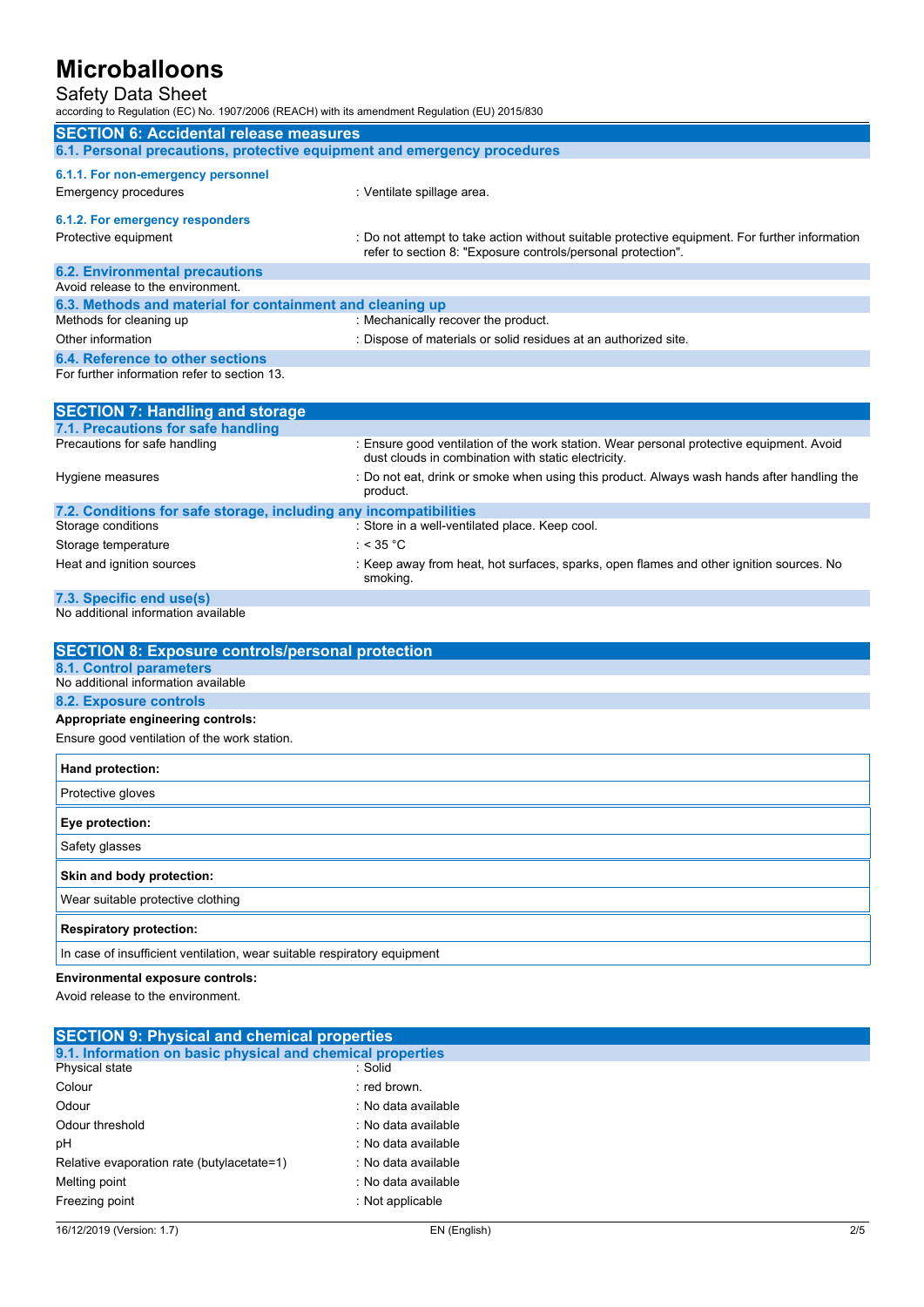### Safety Data Sheet

according to Regulation (EC) No. 1907/2006 (REACH) with its amendment Regulation (EU) 2015/830

| <b>SECTION 6: Accidental release measures</b>                            |                                                                                                                                                                |  |
|--------------------------------------------------------------------------|----------------------------------------------------------------------------------------------------------------------------------------------------------------|--|
| 6.1. Personal precautions, protective equipment and emergency procedures |                                                                                                                                                                |  |
| 6.1.1. For non-emergency personnel<br>Emergency procedures               | : Ventilate spillage area.                                                                                                                                     |  |
| 6.1.2. For emergency responders                                          |                                                                                                                                                                |  |
| Protective equipment                                                     | : Do not attempt to take action without suitable protective equipment. For further information<br>refer to section 8: "Exposure controls/personal protection". |  |
| <b>6.2. Environmental precautions</b>                                    |                                                                                                                                                                |  |
| Avoid release to the environment.                                        |                                                                                                                                                                |  |
| 6.3. Methods and material for containment and cleaning up                |                                                                                                                                                                |  |
| Methods for cleaning up                                                  | : Mechanically recover the product.                                                                                                                            |  |
| Other information                                                        | : Dispose of materials or solid residues at an authorized site.                                                                                                |  |
| 6.4. Reference to other sections                                         |                                                                                                                                                                |  |
| For further information refer to section 13.                             |                                                                                                                                                                |  |

| <b>SECTION 7: Handling and storage</b>                            |                                                                                                                                                 |  |
|-------------------------------------------------------------------|-------------------------------------------------------------------------------------------------------------------------------------------------|--|
| 7.1. Precautions for safe handling                                |                                                                                                                                                 |  |
| Precautions for safe handling                                     | : Ensure good ventilation of the work station. Wear personal protective equipment. Avoid<br>dust clouds in combination with static electricity. |  |
| Hygiene measures                                                  | : Do not eat, drink or smoke when using this product. Always wash hands after handling the<br>product.                                          |  |
| 7.2. Conditions for safe storage, including any incompatibilities |                                                                                                                                                 |  |
| Storage conditions                                                | : Store in a well-ventilated place. Keep cool.                                                                                                  |  |
| Storage temperature                                               | : < 35 °C                                                                                                                                       |  |
| Heat and ignition sources                                         | : Keep away from heat, hot surfaces, sparks, open flames and other ignition sources. No<br>smoking.                                             |  |
| 7.3. Specific end use(s)                                          |                                                                                                                                                 |  |

No additional information available

| <b>SECTION 8: Exposure controls/personal protection</b>                  |
|--------------------------------------------------------------------------|
| 8.1. Control parameters                                                  |
| No additional information available                                      |
| 8.2. Exposure controls                                                   |
| Appropriate engineering controls:                                        |
| Ensure good ventilation of the work station.                             |
| Hand protection:                                                         |
| Protective gloves                                                        |
| Eye protection:                                                          |
| Safety glasses                                                           |
| Skin and body protection:                                                |
| Wear suitable protective clothing                                        |
| <b>Respiratory protection:</b>                                           |
| In case of insufficient ventilation, wear suitable respiratory equipment |

**Environmental exposure controls:**

Avoid release to the environment.

| <b>SECTION 9: Physical and chemical properties</b>         |                     |  |
|------------------------------------------------------------|---------------------|--|
| 9.1. Information on basic physical and chemical properties |                     |  |
| Physical state                                             | : Solid             |  |
| Colour                                                     | : red brown.        |  |
| Odour                                                      | : No data available |  |
| Odour threshold                                            | : No data available |  |
| рH                                                         | : No data available |  |
| Relative evaporation rate (butylacetate=1)                 | : No data available |  |
| Melting point                                              | : No data available |  |
| Freezing point                                             | : Not applicable    |  |
|                                                            |                     |  |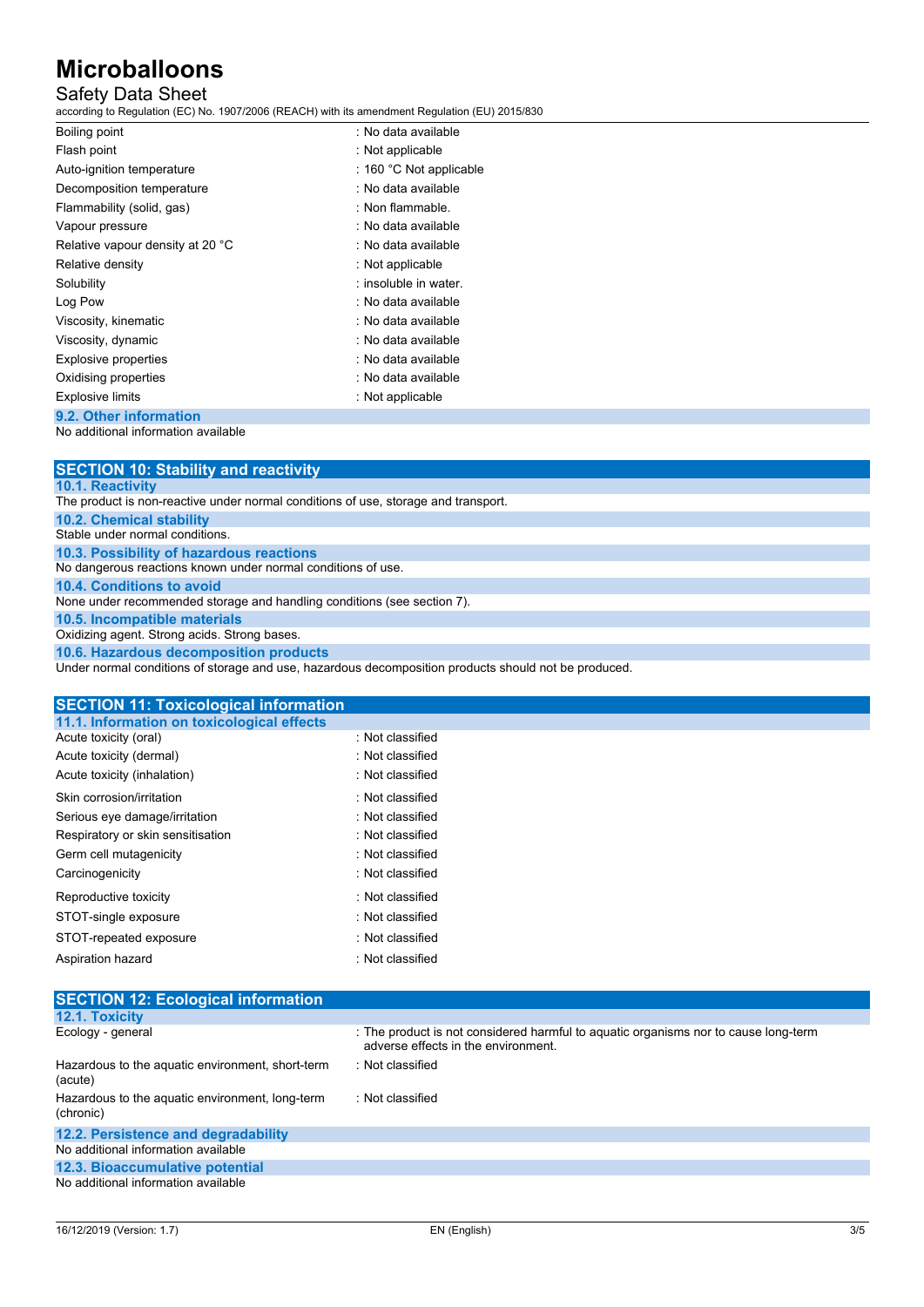## Safety Data Sheet

according to Regulation (EC) No. 1907/2006 (REACH) with its amendment Regulation (EU) 2015/830

| Boiling point                    | : No data available     |
|----------------------------------|-------------------------|
| Flash point                      | : Not applicable        |
| Auto-ignition temperature        | : 160 °C Not applicable |
| Decomposition temperature        | : No data available     |
| Flammability (solid, gas)        | : Non flammable.        |
| Vapour pressure                  | : No data available     |
| Relative vapour density at 20 °C | : No data available     |
| Relative density                 | : Not applicable        |
| Solubility                       | : insoluble in water.   |
| Log Pow                          | : No data available     |
| Viscosity, kinematic             | : No data available     |
| Viscosity, dynamic               | : No data available     |
| <b>Explosive properties</b>      | : No data available     |
| Oxidising properties             | : No data available     |
| <b>Explosive limits</b>          | : Not applicable        |
| 9.2. Other information           |                         |

No additional information available

| <b>SECTION 10: Stability and reactivity</b>                                                          |
|------------------------------------------------------------------------------------------------------|
| <b>10.1. Reactivity</b>                                                                              |
| The product is non-reactive under normal conditions of use, storage and transport.                   |
| <b>10.2. Chemical stability</b>                                                                      |
| Stable under normal conditions.                                                                      |
| 10.3. Possibility of hazardous reactions                                                             |
| No dangerous reactions known under normal conditions of use.                                         |
| 10.4. Conditions to avoid                                                                            |
| None under recommended storage and handling conditions (see section 7).                              |
| 10.5. Incompatible materials                                                                         |
| Oxidizing agent. Strong acids. Strong bases.                                                         |
| 10.6. Hazardous decomposition products                                                               |
| Under normal conditions of storage and use, hazardous decomposition products should not be produced. |

| <b>SECTION 11: Toxicological information</b> |                  |
|----------------------------------------------|------------------|
| 11.1. Information on toxicological effects   |                  |
| Acute toxicity (oral)                        | : Not classified |
| Acute toxicity (dermal)                      | : Not classified |
| Acute toxicity (inhalation)                  | : Not classified |
| Skin corrosion/irritation                    | : Not classified |
| Serious eye damage/irritation                | : Not classified |
| Respiratory or skin sensitisation            | : Not classified |
| Germ cell mutagenicity                       | : Not classified |
| Carcinogenicity                              | : Not classified |
| Reproductive toxicity                        | : Not classified |
| STOT-single exposure                         | : Not classified |
| STOT-repeated exposure                       | : Not classified |
| Aspiration hazard                            | : Not classified |

| <b>SECTION 12: Ecological information</b>                    |                                                                                                                            |
|--------------------------------------------------------------|----------------------------------------------------------------------------------------------------------------------------|
| 12.1. Toxicity                                               |                                                                                                                            |
| Ecology - general                                            | : The product is not considered harmful to aquatic organisms nor to cause long-term<br>adverse effects in the environment. |
| Hazardous to the aquatic environment, short-term<br>(acute)  | : Not classified                                                                                                           |
| Hazardous to the aquatic environment, long-term<br>(chronic) | : Not classified                                                                                                           |
| 12.2. Persistence and degradability                          |                                                                                                                            |
| No additional information available                          |                                                                                                                            |
| 12.3. Bioaccumulative potential                              |                                                                                                                            |
| Ale edditional information or allohla                        |                                                                                                                            |

No additional information available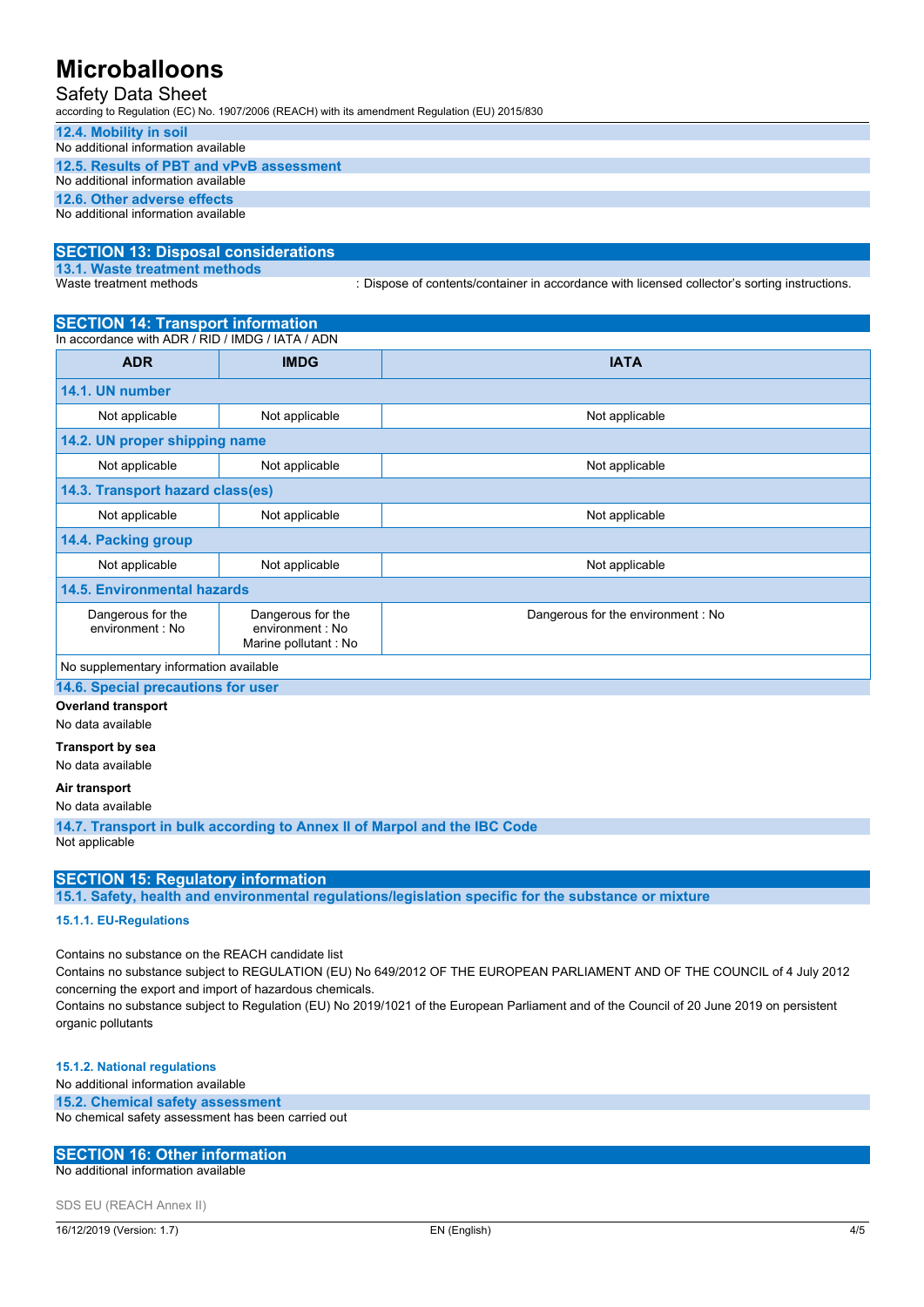## Safety Data Sheet

according to Regulation (EC) No. 1907/2006 (REACH) with its amendment Regulation (EU) 2015/830

#### **12.4. Mobility in soil** No additional information available

| No additional information available      |  |
|------------------------------------------|--|
| 12.5. Results of PBT and vPvB assessment |  |
| No additional information available      |  |
| 12.6. Other adverse effects              |  |
| No additional information available      |  |

# **SECTION 13: Disposal considerations**

**13.1. Waste treatment methods**

: Dispose of contents/container in accordance with licensed collector's sorting instructions.

# **SECTION 14: Transport information**

| In accordance with ADR / RID / IMDG / IATA / ADN |                                                               |                                   |  |
|--------------------------------------------------|---------------------------------------------------------------|-----------------------------------|--|
| <b>ADR</b>                                       | <b>IMDG</b>                                                   | <b>IATA</b>                       |  |
| 14.1. UN number                                  |                                                               |                                   |  |
| Not applicable                                   | Not applicable                                                | Not applicable                    |  |
|                                                  | 14.2. UN proper shipping name                                 |                                   |  |
| Not applicable                                   | Not applicable                                                | Not applicable                    |  |
| 14.3. Transport hazard class(es)                 |                                                               |                                   |  |
| Not applicable                                   | Not applicable                                                | Not applicable                    |  |
| 14.4. Packing group                              |                                                               |                                   |  |
| Not applicable                                   | Not applicable                                                | Not applicable                    |  |
| <b>14.5. Environmental hazards</b>               |                                                               |                                   |  |
| Dangerous for the<br>environment : No            | Dangerous for the<br>environment : No<br>Marine pollutant: No | Dangerous for the environment: No |  |
| No supplementary information available           |                                                               |                                   |  |

**14.6. Special precautions for user**

### **Overland transport**

No data available

### **Transport by sea**

No data available

### **Air transport**

No data available

**14.7. Transport in bulk according to Annex II of Marpol and the IBC Code** Not applicable

## **SECTION 15: Regulatory information**

**15.1. Safety, health and environmental regulations/legislation specific for the substance or mixture**

### **15.1.1. EU-Regulations**

Contains no substance on the REACH candidate list

Contains no substance subject to REGULATION (EU) No 649/2012 OF THE EUROPEAN PARLIAMENT AND OF THE COUNCIL of 4 July 2012 concerning the export and import of hazardous chemicals.

Contains no substance subject to Regulation (EU) No 2019/1021 of the European Parliament and of the Council of 20 June 2019 on persistent organic pollutants

### **15.1.2. National regulations**

No additional information available

#### **15.2. Chemical safety assessment**

No chemical safety assessment has been carried out

#### **SECTION 16: Other information**

No additional information available

SDS EU (REACH Annex II)